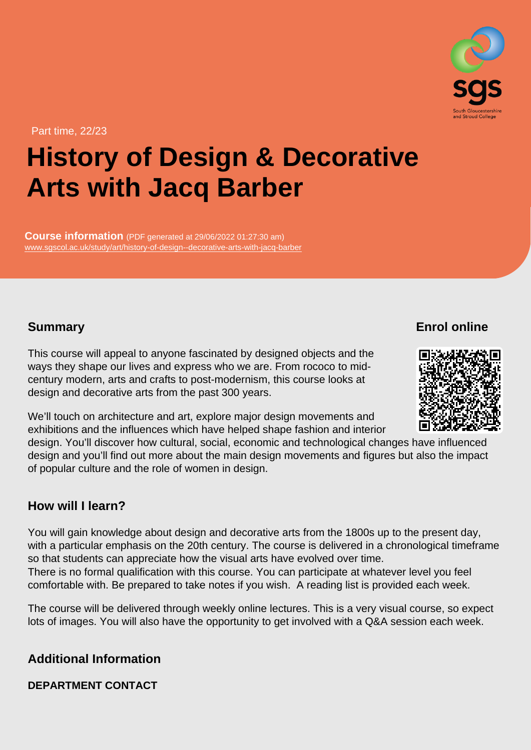Part time, 22/23

# History of Design & Decorative Arts with Jacq Barber

Course information (PDF generated at 29/06/2022 01:27:30 am) [www.sgscol.ac.uk/study/art/history-of-design--decorative-arts-with-jacq-barber](https://www.sgscol.ac.uk/study/art/history-of-design--decorative-arts-with-jacq-barber)

## **Summary**

Enrol online

This course will appeal to anyone fascinated by designed objects and the ways they shape our lives and express who we are. From rococo to midcentury modern, arts and crafts to post-modernism, this course looks at design and decorative arts from the past 300 years.

We'll touch on architecture and art, explore major design movements and exhibitions and the influences which have helped shape fashion and interior design. You'll discover how cultural, social, economic and technological changes have influenced design and you'll find out more about the main design movements and figures but also the impact of popular culture and the role of women in design.

## How will I learn?

You will gain knowledge about design and decorative arts from the 1800s up to the present day, with a particular emphasis on the 20th century. The course is delivered in a chronological timeframe so that students can appreciate how the visual arts have evolved over time. There is no formal qualification with this course. You can participate at whatever level you feel comfortable with. Be prepared to take notes if you wish. A reading list is provided each week.

The course will be delivered through weekly online lectures. This is a very visual course, so expect lots of images. You will also have the opportunity to get involved with a Q&A session each week.

Additional Information

DEPARTMENT CONTACT